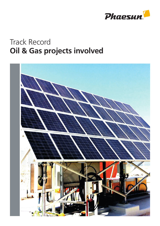

## Track Record Oil & Gas projects involved

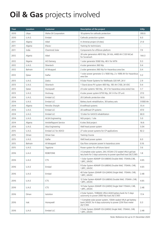## Oil & Gas projects involved

| Year | <b>Location</b> | <b>Customer</b>         | Description of the project                                                                                                         | kWp      |
|------|-----------------|-------------------------|------------------------------------------------------------------------------------------------------------------------------------|----------|
| 2010 | Libya           | Waha Oil Corporation    | 18 systems for cathodic protection                                                                                                 | 300.0    |
| 2010 | U.A.E.          | Emdad                   | Cathodic protection system                                                                                                         | 6.0      |
| 2011 | Algeria         | Aibel                   | In Amenas project (4 sites)                                                                                                        | 21.6     |
| 2011 | Algeria         | Efacec                  | Training for technicians                                                                                                           |          |
| 2011 | India           | Chemtrols Solar         | Components for offshore platform                                                                                                   | 7.9      |
| 2012 | Algeria         | Aibel                   | 30 solar generators 4810 Wp, 24 Vdc, 4400 Ah C120 NiCad<br>for Sonatrach                                                           | 144.3    |
| 2012 | Nigeria         | AO Demarg               | 1 solar generator 9360 Wp, 48 V for MTN                                                                                            | 9.3      |
| 2012 | U.A.E.          | Silvertech              | 4 solar generators 360 Wp                                                                                                          | 0.4      |
| 2012 | Bahrain         | Al Moayyed              | 2 solar generators 360 Wp for Hazardous area Eex                                                                                   | 0.4      |
| 2012 | Qatar           | Galfar                  | 1 solar power generator 2 x 1600 Wp, 2 x 1696 Ah for Hazardous<br>area Eex                                                         | 3.2      |
| 2013 | U.A.E.          | Zadco                   | 9 Solar Power Systems for Wellheads 320 WP, 24 V                                                                                   | 2.9      |
| 2013 | U.A.E.          | Silvertech              | 1 Stand alone PV system 400 Wp, 185 Ah C100, 24 VDC                                                                                | 0.4      |
| 2013 | Qatar           | Honeywell               | 23 solar systems 160 Wp, 24 V for hazardous area zone2 Eex                                                                         | 3.7      |
| 2013 | U.A.E.          | Hockway                 | 4 solar power system 6750 Wp, 24 V 4 for CP unit                                                                                   | 27.0     |
| 2014 | U.A.E.          | Emdad LLC               | 20 Cathodic protection sites                                                                                                       | 50.0     |
| 2014 | U.A.E.          | Emdad LLC               | Battery bank rehabilitation, 30 battery sets                                                                                       | 51000 Ah |
| 2014 | Algeria         | Petrofac Sharjah        | 8 wellhead systems                                                                                                                 | 55.4     |
| 2014 | U.A.E.          | Emdad LLC               | 20 wellhead CP systems                                                                                                             | 47.0     |
| 2014 | U.A.E.          | Emdad LLC               | 13 sites for GASCO rehabilitation                                                                                                  | 60.0     |
| 2014 | U.A.E.          | <b>ALSA Engineering</b> | NGI project, 1 site                                                                                                                | 5.0      |
| 2014 | Algeria         | Antideflagrant Service  | 6 sites Skid project                                                                                                               | 16.6     |
| 2014 | U.A.E.          | Alsa Engineering        | Well head power system                                                                                                             | 5.04     |
| 2015 | U.A.E.          | Emdad LLC for ADCO      | 27 solar power systems for CP applications                                                                                         | 82.2     |
| 2015 | Oman            | Oman Gas                | <b>Training Course</b>                                                                                                             |          |
| 2015 | U.A.E.          | Galfar                  | Well head power system                                                                                                             | 6.0      |
| 2015 | Bahrain         | Al Moayyed              | Gas flow computer power in hazardous zone                                                                                          | 0.16     |
| 2015 | U.A.E.          | Tagstone                | Power system for off-shore island                                                                                                  | 3.6      |
| 2016 | U.A.E           | <b>ROBSTONE</b>         | 3 Complete solar system, 24V, 972Ah C72 sealed VRLA gel bat-<br>tery bank for 3 days autonomy to power specified load 24/7/365     | 1.8      |
| 2016 | U.A.E           | <b>CTS</b>              | 1 Solar System 40AMP-12V-(480W) Double Well, 1704Ah,C48,<br>1.8PC, 24VDC                                                           | 4.65     |
| 2016 | U.A.E           | Emdad                   | 9 Solar System 40AMP-12V-(480W) Double Well, 1704Ah, C48,<br>1.8PC, 24VDC                                                          | 4.65     |
| 2016 | U.A.E           | Emdad                   | 40 Solar System 20AMP-12V-(240W) Single Well, 1704Ah, C48,<br>1.8PC, 24VDC                                                         | 2.48     |
| 2016 | U.A.E           | <b>CTS</b>              | 12 Solar System 40AMP-12V-(480W) Double Well, 1704Ah, C48,<br>1.8PC, 24VDC                                                         | 4.65     |
| 2016 | U.A.E           | <b>CTS</b>              | 14 Solar System 20AMP-12V-(240W) Single Well 1704AH, C48,<br>1.8PC, 24VDC                                                          | 2.48     |
| 2016 | Oman            | Isolution               | 2 Solar System, 15984Ah VRLA AGM battery bank for 5 days<br>autonomy to power 2000 Wp load 24/7/365                                | 17.4     |
| 2016 | Irak            | Honeywell               | 1 Complete solar power system, 130Ah sealed VRLA gel battery<br>bank 24VDC for 4 days autonomy to power 22W flow meter<br>24/7/365 | 0.3      |
| 2016 | U.A.E           | Emdad LLC               | 5 Solar System 20AMP-12V-(240W) Single Well, 1704AH, C48,<br>1.8PC, 24VDC                                                          | 2.48     |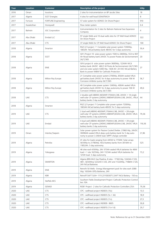| Year | <b>Location</b> | <b>Customer</b>            | <b>Description of the project</b>                                                                                                                                                                                               | kWp            |
|------|-----------------|----------------------------|---------------------------------------------------------------------------------------------------------------------------------------------------------------------------------------------------------------------------------|----------------|
| 2016 | Oman            | <b>Isoutions</b>           | 2 sites for instrumentation on BP Jacobs Sites                                                                                                                                                                                  | 18             |
| 2017 | Algerie         | <b>SCET Energies</b>       | 4 sites for well head SONATRACH                                                                                                                                                                                                 | 8              |
| 2017 | Fortune         | <b>FORTUNE Engineering</b> | 57 solar system for ADNOC On Shore-Project                                                                                                                                                                                      | 910            |
| 2017 | Kazaksthan      | Honeywell                  | Flow meter system                                                                                                                                                                                                               | 0.4            |
| 2017 | Bahrein         | JGC Corporation            | Instrumentation for 2 sites for Bahrein National Gas Expansion<br>Company                                                                                                                                                       | $\overline{4}$ |
| 2017 | Abu Dhabi       | Emdad LLC                  | 97 single Wells and 10 dual wells sites for CP Well Head ADNOC<br>On Shore Project                                                                                                                                              | 322            |
| 2017 | Abu Dhabi       | <b>CTS</b>                 | 37 single Wells for CP Well Head ADNOC On Shore Project                                                                                                                                                                         | 100            |
| 2018 | Algeria         | Smarton                    | RGZ 2/3 project 7 Complete solar power system 7200Wp,<br>1065Ah NiCad battery bank 48VDC for 5 days autonomy                                                                                                                    | 50,4           |
| 2018 | Algeria         | <b>SCET</b>                | GR 5 Project 10 solar power system 1500 to 2400Wp, 553 to 907<br>Ah Nicad battery bank 24VDC To power Postes de Sectionnement<br>24/7/365                                                                                       | 20             |
| 2018 | Algeria         | <b>ENIE</b>                | GR 6 project 6 solar power system 3600Wp, 1224Ah NiCd<br>battery bank 24VDC 460,5 W Poste de Sectionnement 24/7/365<br>and one solar system 5400 Wp, 1428 AH 24 VDC NiCad Battery<br>Bank to power 448W for Cathodic Protection | 27             |
| 2018 | Algeria         | Milton Roy Europe          | 21 Complete solar power system 2700Wp, 850Ah sealed VRLA<br>gel battery bank 24VDC for 4 days autonomy to power 106 W<br>Corrosion inhibitor pump 24/7/365                                                                      | 56,7           |
| 2018 | Algeria         | Milton Roy Europe          | 40 Complete solar power system 1240Wp, 400Ah sealed VRLA<br>gel battery bank 24VDC for 4 days autonomy to power 106 W<br>Corrosion inhibitor pump 24/7/365                                                                      | 49,6           |
| 2018 | <b>UAE</b>      | <b>CTS</b>                 | 2 double well (480W) 4650WP,1704AH,C48, 24VDC + 14 single<br>well solar CP systems (240W) 2480WP,833AH,C48, 24VDC, VRLA<br>battery banks 2 day autonomy                                                                         | 44             |
| 2018 | Algeria         | Smarton                    | RGZ 2/3 project 7 Complete solar power system 7200Wp,<br>1065Ah NiCad battery bank 48VDC for 5 days autonomy                                                                                                                    |                |
| 2019 | <b>UAE</b>      | <b>CTS</b>                 | 2 dual well (480W) 4650WP,1704AH,C48, 24VDC + 28 single<br>well solar CP systems (240W) 2480WP,833AH,C48, 24VDC VRLA<br>battery banks 2 day autonomy                                                                            | 79,36          |
| 2019 | <b>UAE</b>      | Emdad                      | 4 dual well (480W) 4650WP,1704AH,C48, 24VDC + 39 single<br>well solar CP systems (240W) 2480WP,833AH,C48, 24VDC VRLA<br>battery banks 2 day autonomy                                                                            | 116,56         |
| 2019 | Oman            | Intertec/Saipem            | Solar power system for Passive Cooled Shelter. 21960 Wp, 24VDC<br>30096Ah sealed VRLA deep cycle battery bank for 5 day auto-<br>nomy to power 3.34kW load. MPPT charge controller                                              | 21,96          |
| 2019 | Algeria         | Petrofac                   | 41 sites for loads ranging from 445W to 1750W. Solar arrays<br>5610Wp to 21780Wp. NiCd battery banks from 3014Ah to<br>11852Ah. 5 day autonomy                                                                                  | 525            |
| 2019 | Algeria         | Yokogawa                   | 46 sites each 650Wp, 24V 373Ah sealed VRLA batteries for 46W<br>load + 1 site 1625Wp, 24V 1123Ah sealed VRLA batteries for<br>125W load. 5 days autonomy                                                                        | 73,2           |
| 2019 | Algeria         | SMARTON                    | Algeria BRN MLE Gas Pipeline, 8 sites: 17160 Wp, 5343Ah C120,<br>48V; 8250Wcp 5232Ah C120, 24V and 11220Wp, 7188Ah C120,<br>24V NiCad Batteries                                                                                 |                |
| 2019 | Algeria         | <b>ENIE</b>                | Retrofit 50 Wells - Energy Management pack for sites each 2080<br>Wp/ 1650Ah OPZs Batteries, 24V                                                                                                                                |                |
| 2019 | Algeria         | <b>KBR</b>                 | Retrofif SAFT SUN+ 1115 [311003071] SAFT NiCd Battery - 150 ea.                                                                                                                                                                 |                |
| 2019 | Algeria         | Steffels KKS               | Southern Fields Development Project- Cathodic Protection Control-<br>lers 10A                                                                                                                                                   |                |
| 2019 | Algeria         | <b>GENAD</b>               | ROB1 Project - 2 sites for Cathodic Protection Controllers 25A -                                                                                                                                                                | 79,36          |
| 2020 | <b>UAE</b>      | <b>CTS</b>                 | CPC - wellhead project IND835 (15s)                                                                                                                                                                                             | 13,5           |
| 2020 | <b>UAE</b>      | <b>CTS</b>                 | CPC - wellhead project IND835 (5s + 3d)                                                                                                                                                                                         | 18,9           |
| 2020 | <b>UAE</b>      | CTS                        | CPC - wellhead project IND835 (11s)                                                                                                                                                                                             | 27,3           |
| 2020 | <b>UAE</b>      | <b>CTS</b>                 | CPC - wellhead project IND909 - 9605                                                                                                                                                                                            | 30,8           |
| 2020 | <b>UAE</b>      | <b>CTS</b>                 | CPC - wellhead project IND870 (11s+1d)                                                                                                                                                                                          | 29,7           |